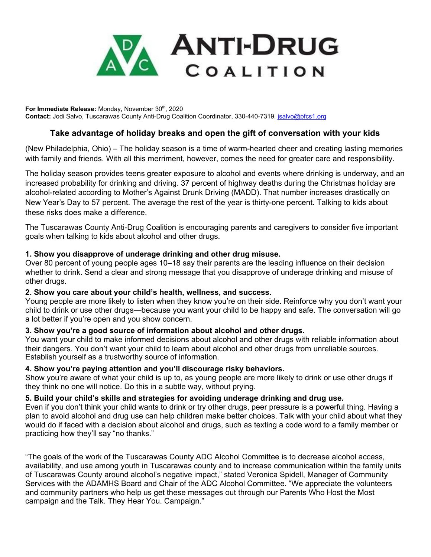

For Immediate Release: Monday, November 30<sup>th</sup>, 2020 **Contact:** Jodi Salvo, Tuscarawas County Anti-Drug Coalition Coordinator, 330-440-7319, [jsalvo@pfcs1.org](mailto:jsalvo@pfcs1.org)

# **Take advantage of holiday breaks and open the gift of conversation with your kids**

(New Philadelphia, Ohio) – The holiday season is a time of warm-hearted cheer and creating lasting memories with family and friends. With all this merriment, however, comes the need for greater care and responsibility.

The holiday season provides teens greater exposure to alcohol and events where drinking is underway, and an increased probability for drinking and driving. 37 percent of highway deaths during the Christmas holiday are alcohol-related according to Mother's Against Drunk Driving (MADD). That number increases drastically on New Year's Day to 57 percent. The average the rest of the year is thirty-one percent. Talking to kids about these risks does make a difference.

The Tuscarawas County Anti-Drug Coalition is encouraging parents and caregivers to consider five important goals when talking to kids about alcohol and other drugs.

## **1. Show you disapprove of underage drinking and other drug misuse.**

Over 80 percent of young people ages 10–18 say their parents are the leading influence on their decision whether to drink. Send a clear and strong message that you disapprove of underage drinking and misuse of other drugs.

### **2. Show you care about your child's health, wellness, and success.**

Young people are more likely to listen when they know you're on their side. Reinforce why you don't want your child to drink or use other drugs—because you want your child to be happy and safe. The conversation will go a lot better if you're open and you show concern.

### **3. Show you're a good source of information about alcohol and other drugs.**

You want your child to make informed decisions about alcohol and other drugs with reliable information about their dangers. You don't want your child to learn about alcohol and other drugs from unreliable sources. Establish yourself as a trustworthy source of information.

### **4. Show you're paying attention and you'll discourage risky behaviors.**

Show you're aware of what your child is up to, as young people are more likely to drink or use other drugs if they think no one will notice. Do this in a subtle way, without prying.

### **5. Build your child's skills and strategies for avoiding underage drinking and drug use.**

Even if you don't think your child wants to drink or try other drugs, peer pressure is a powerful thing. Having a plan to avoid alcohol and drug use can help children make better choices. Talk with your child about what they would do if faced with a decision about alcohol and drugs, such as texting a code word to a family member or practicing how they'll say "no thanks."

"The goals of the work of the Tuscarawas County ADC Alcohol Committee is to decrease alcohol access, availability, and use among youth in Tuscarawas county and to increase communication within the family units of Tuscarawas County around alcohol's negative impact," stated Veronica Spidell, Manager of Community Services with the ADAMHS Board and Chair of the ADC Alcohol Committee. "We appreciate the volunteers and community partners who help us get these messages out through our Parents Who Host the Most campaign and the Talk. They Hear You. Campaign."